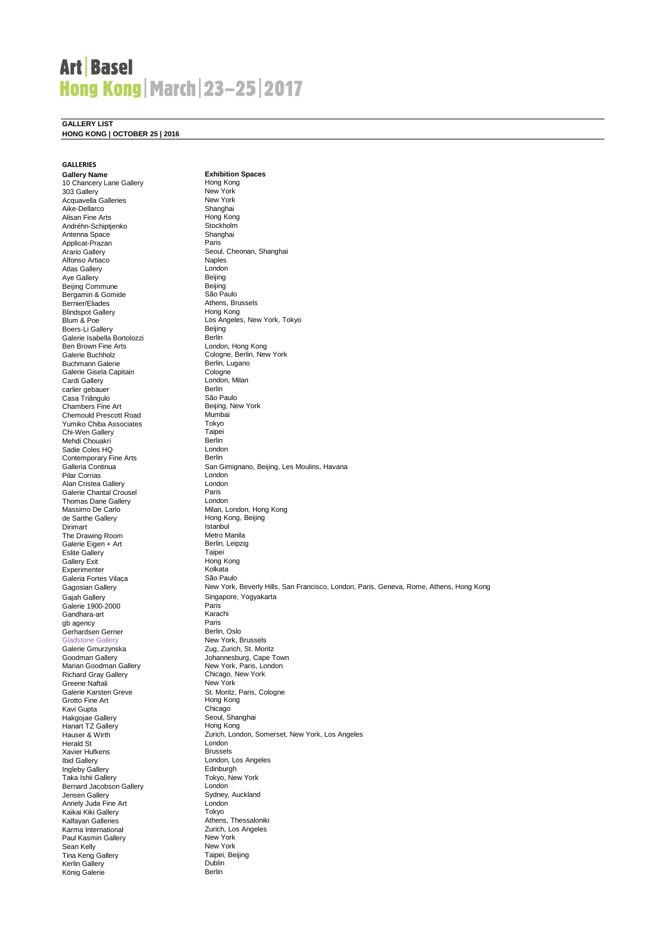# **Art Basel Hong Kong | March | 23-25 | 2017**

**GALLERY LIST**

**HONG KONG | OCTOBER 25 | 2016**

### **GALLERIES**

**Gallery Name Exhibition Spaces**<br> **Exhibition Spaces**<br> **Exhibition Spaces** 10 Chancery Lane Gallery Hong Kong<br>
10 Chancery Lane Gallery Hong Kong<br>
10 Okancery Lane Gallery How York 303 Gallery New York<br>Acquavella Galleries New York Acquavella Galleries Aike-Dellarco **Shanghai**<br>Alisan Fine Arts **Shanghai** Hong Kong Alisan Fine Arts<br>
Alisan Fine Arts<br>
Andréhn-Schiptjenko<br>
Stockholm Andréhn-Schiptjenko Stockholm<br>Andréhn-Schiptjenko Stockholm<br>Antenna Space Shanghai Antenna Space Shan<br>Annlicat-Prazan Shanghai Shan<br>Paris Applicat-Prazan<br>Arario Gallery Alfonso Artiaco Maples<br>Atlas Gallery London Atlas Gallery **London Communist Communist Communist Communist Communist Communist Communist Communist Communist Communist Communist Communist Communist Communist Communist Communist Communist Communist Communist Communist** Aye Gallery **Beijing**<br>
Beijing Commune **Beijing**<br>
Beijing Commune r volumer.<br>Beijing Commune Beijing Beijing Bergamin & Gomide São Paulo Bergamin & Gomide<br>Bernier/Fliades Blindspot Gallery<br>Blum & Poe Boers-Li Gallery<br>Galerie Isabella Bortolozzi **Beiling Beiling** Galerie Isabella Bortolozzi<br>Ben Brown Fine Arts Ben Brown Fine Arts London, Hong Kong Buchmann Galerie Berlin, L<br>Galerie Gisela Capitain Berlin, L Galerie Gisela Capitain<br>Cardi Gallery carlier gebauer and Berlin<br>Casa Triângulo<br>Casa Triângulo Casa Triângulo Chambers Fine Art **Beijing, New York**<br>
Chemould Prescott Road **Mumbai** Chemould Prescott Road<br>
Yumiko Chiba Associates Tokyo Yumiko Chiba Associates Tokyo Chi-Wen Gallery Taipei Mehdi Chouakri Berlin Sadie Coles HQ<br>
Contemporary Fine Arts
Berlin **Contemporary Fine Arts**<br>Galleria Continua Pilar Corrias London Alan Cristea Gallery<br>
Galerie Chantal Crousel<br>
Paris Galerie Chantal Crousel Paris<br>
Thomas Dane Gallery<br>
London Thomas Dane Gallery<br>Massimo De Carlo Dirimart Istanbul<br>The Drawing Room Metro Manila The Drawing Room Metro Manila<br>
Galerie Eigen + Art Metro Manila Galerie Eigen + Art Berlin,<br>Eslite Gallery **Berlin, Callery Berlin**, Eslite Gallery Taipei Gallery Exit<br>
Fxperimenter<br>
Kolkata Experimenter Molkata<br>
Galeria Fortes Vilaça Museum São Paulo Galeria Fortes Vilaça Gagosian Gallery Galerie 1900-2000 Paris<br>Gandhara-art Karach Gandhara-art Karachi Karachi Karachi Karachi Karachi Karachi Karachi Karachi Karachi Karachi Karachi Karachi K gb agency and the Paris Paris<br>
Paris Cerhardsen Gerner Allen Berlin, Oslo Gerhardsen Gerner<br>Gladstone Gallery Gladstone Gallery **New York, Brussels**<br>
Galerie Gmurzvnska **New York, Brussels** Richard Gray Gallery Chicago, I<br>Greene Naftali New York Greene Naftali<br>Galerie Karsten Greve Grotto Fine Art Hong Kong<br>
Kavi Gupta Maximum Chicago<br>
Hakgojae Gallery Maximum Seoul, Shanghai Kavi Gupta Makgojae Gallery Seoul, Shanghai Barata Seoul, Shanghai Barata Seoul, Shanghai Barata Shanghai Barata Shanghai<br>Seoul, Shanghai Barata Shanghai Barata Shanghai Barata Shanghai Barata Shanghai Barata Shanghai Barata Shangha Hanart TZ Gallery<br>Hauser & Wirth Herald St London Xavier Hufkens<br>Ibid Gallery Ingleby Gallery<br>Taka Ishii Gallery Bernard Jacobson Gallery<br>Jensen Gallery Annely Juda Fine Art London<br>
Kaikai Kiki Gallery **Communistration** Kaikai Kiki Gallery Kalfayan Galleries **Athens, Thessaloniki**<br>
Kalfayan Galleries **Athens, Thessaloniki**<br> **Athens, Thessaloniki**<br> **Athens, Thessaloniki** Paul Kasmin Gallery Sean Kelly New York<br>Tina Keng Gallery New York Taipei, Beijing Tina Keng Gallery<br>
Tina Keng Gallery<br>
Kerlin Gallery (Beijing Taipei) **Kerlin Gallery Communist Communist Communist Communist Communist Communist Communist Communist Communist Communist Communist Communist Communist Communist Communist Communist Communist Communist Communist Communist Commun** König Galerie

. and<br>Seoul, Cheonan, Shanghai<br>Naples Athens, Brussels Panene, Brassels<br>Hong Kong<br>Los Angeles, New York, Tokyo<br>Beijing Cologne, Berlin, New York<br>Berlin, Lugano London, Milan<br>Berlin San Gimignano, Beijing, Les Moulins, Havana<br>London Massimo De Carlo Milan, London, Hong Kong<br>
de Sarthe Gallery<br>
Milan, London, Hong Kong, Beijing Hong Kong, Beijing<br>Istanbul Gajah Gallery Callery Singapore, Yogyakarta<br>Galerie 1900-2000 Calerie Paris Zug, Zurich, St. Moritz Goodman Gallery **Goodman Gallery** Johannesburg, Cape Town<br>
Marian Goodman Gallery **Marian Communisty Communisty Communisty** New York, Paris, London Marin Gooding, Jupe 101.<br>New York, Paris, London<br>Chicago, New York St. Moritz, Paris, Cologne<br>Hong Kong Zurich, London, Somerset, New York, Los Angeles<br>London London, Los Angeles<br>Edinburgh Tokyo, New York<br>London Sydney, Auckland<br>London Zurich, Los Angeles<br>New York New York, Beverly Hills, San Francisco, London, Paris, Geneva, Rome, Athens, Hong Kong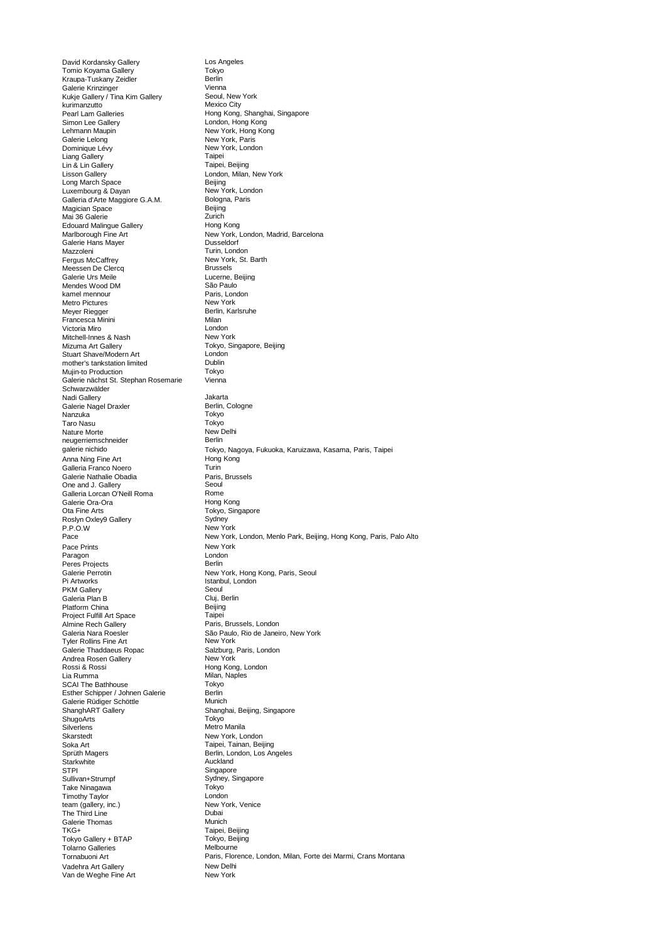David Kordansky Gallery **Los Angeles**<br> **Company Contract Contract Contract Contract Contract Contract Contract Contract Contract Contract Contract Contract Contract Contract Contract Contract Contract Contract Contract Con** Tomio Koyama Gallery Tokyo Kraupa-Tuskany Zeidler Berlin Galerie Krinzinger<br>Galerie Krinzinger Vienna<br>Kukje Gallery / Tina Kim Gallery Manus Seoul, New York Kukje Gallery / Tina Kim Gallery Seoul, New Seoul, New York Seoul, New York Seoul, New York Seoul, New York Seoul, New York Seoul, New York Seoul, New York Seoul, New York Seoul, New York Seoul, New York Seoul, New York Se kurimanzutto<br>Pearl Lam Galleries n ann an Earl Lam Galleries<br>
Pearl Lam Galleries<br>
Simon Lee Gallery<br>
London, Hong Kong Simon Lee Gallery **London, Hong Kong**<br>
Lehmann Maupin **Lehmann Maupin** New York, Hong Kong Lehmann Maupin New York, Hong Kong<br>
Galerie Lelong New York, Paris Galerie Lelong New York, Paris Dominique Lévy New York, London Liang Gallery **Taipei (1996)**<br>
Lin & Lin Gallery **Taipei** Lisson Gallery **London, Milan, New York**<br>
Long March Space **Constant Belging**<br>
Luxembourg & Dayan **Constant Constant Constant Constant Constant Constant New York, London** Lisson Saller,<br>Long March Space Luxembourg & Dayan New York, London Rew York, London Rew York, London Calleria d'Arte Maggiore G.A.M. Galleria d'Arte Maggiore G.A.M. Bologn<br>Magician Space Beijing Magician Space and Beijing Beijing<br>Mai 36 Galerie 1996 - Beijing Zurich Mai 36 Galerie 2020<br>
Mai 36 Galerie 2020<br>
Edouard Malingue Gallery 2020<br>
Hong Kong Edouard Malingue Gallery Galerie Hans Mayer<br>Mazzoleni Mazzoleni Mazzoleni Turin, London<br>
Fergus McCaffrey Mew York, St.<br>
New York, St. Meessen De Clercq<br>Galerie Urs Meile **Brussels Salerie Lucerne.** Beijing Galerie Urs Meile **Lucerne, Executed Eucerne, Executed Eucerne, Executed Eucerne, Executed Eucerne, E**<br>
São Paulo Mendes Wood DM São Paulo<br>
kamel mennour<br>
Paris London kamel mennour and the control of the Paris, London Paris, London Paris, London Paris, London Paris, London Par<br>
New York Metro Pictures<br>Meyer Riegger Francesca Minini<br>Victoria Miro<br>I ondon Victoria Miro<br>Mitchell-Innes & Nash Mitchell Dew York Mitchell-Innes & Nash<br>Mizuma Art Gallery Stuart Shave/Modern Art London mother's tankstation limited **Dublin**<br>
Mujin-to Production **Dublin**<br>
Tokvo Mujin-to Production Galerie nächst St. Stephan Rosemarie Schwarzwälder Nadi Gallery Jakarta Galerie Nagel Draxler Berlin, Cologne Nanzuka Tokyo (Karolingan Tokyo (Karolingan Tokyo (Karolingan Tokyo (Karolingan Tokyo (Karolingan Tokyo (Karol<br>Taro Nasu (Karolingan Tokyo (Karolingan Tokyo (Karolingan Tokyo (Karolingan Tokyo (Karolingan Tokyo (Karolinga Taro Nasu Tokyo Tokyo Nature Morte (1999) and the New Delhi Nature Morte<br>
neugerriemschneider<br>
Berlin neugerriemschneider galerie nichido **Anna Ning Fine Art Manus (1988)**<br>Galleria Franco Noero Martín (1998)<br>Turin Galleria Franco Noero<br>Galerie Nathalie Obadia Maria Paris, Brussels Galerie Nathalie Obadia Paris,<br>
One and J Gallery<br>
Seoul One and J. Gallery Seoul<br>
Galleria Lorcan O'Neill Roma Seoul Galleria Lorcan O'Neill Roma<br>Galerie Ora-Ora Roma Roma Roma Galerie Ora-Ora<br>Ota Fine Arts Roslyn Oxley9 Gallery<br>P.P.O.W Pace Pace Prints **New York**<br>
Paragon **New York**<br>
London Paragon Londo<br>Paras Projects (Retling) Peres Projects<br>Galerie Perrotin Galerie Perrotin New York, Hong Kong, Paris, Seoul<br>
Pi Artworks
Book Care and Stanbul, London PKM Gallery Galeria Plan B<br>
Platform China<br>
Beijing Platform China<br>
Project Fulfill Art Space<br>
Taipei Project Fulfill Art Space<br>Almine Rech Gallery Almine Rech Gallery Paris, Brussels, London Tyler Rollins Fine Art **New York** New York<br>
Galerie Thaddaeus Ropac **New York Salzburg, Paris, London** Galerie Thaddaeus Ropac<br>
Andrea Rosen Gallery<br>
New York Andrea Rosen Gallery<br>Rossi & Rossi Rossi & Rossi **Exercise Server Accept Hong Kong, London**<br>
Lia Rumma **Milan, Naples** SCAI The Bathhouse Tokyo<br>Esther Schinner / Johnen Galerie Berlin Esther Schipper / Johnen Galerie **Berlin**<br>Galerie Rüdiger Schöttle **Berlin** Munich Galerie Rüdiger Schöttle<br>ShanghART Gallery ShugoArts<br>Silverlens Skarstedt New York, London Soka Art Taipei, Tainan, Beijing Sprüth Magers **Berlin, London, Los Angeles** Starkwhite **Auckland**<br>
STPI **Auckland**<br>
Singapore STPI Singapore<br>
Sullivan+Strumpf Sydney, S Take Ninagawa Tokyo Timothy Taylor London team (gallery, inc.)<br>
The Third Line Company, inc. and the Company of the China Dubai The Third Line **Dubai**<br>
Galerie Thomas **Munich**<br>
Munich Galerie Thomas<br>TKG+ Tokyo Gallery + BTAP Tokyo, Bei<br>Tolarno Galleries Melbourne Tolarno Galleries Tornabuoni Art Vadehra Art Gallery **New Delhi**<br>
Van de Weghe Fine Art **New York** Van de Weghe Fine Art

Taipei, Beijing Marlborough Fine Art **New York, London, Madrid, Barcelona**<br>Galerie Hans Mayer **New York, Condon, Madrid, Barcelona** New York, St. Barth<br>Brussels new rem<br>Berlin, Karlsruhe<br>Milan Tokyo, Singapore, Beijing<br>London Vienna Tokyo, Singapore<br>Sydnev New York Pistanbul, London<br>Seoul<br>Cluj, Berlin São Paulo, Rio de Janeiro, New York<br>New York Milan, Naples<br>Tokyo Shanghai, Beijing, Singapore<br>Tokyo Metro Manila Sydney, Singapore<br>Tokyo Taipei, Beijing<br>Tokyo, Beijing Tokyo, Nagoya, Fukuoka, Karuizawa, Kasama, Paris, Taipei New York, London, Menlo Park, Beijing, Hong Kong, Paris, Palo Alto Paris, Florence, London, Milan, Forte dei Marmi, Crans Montana